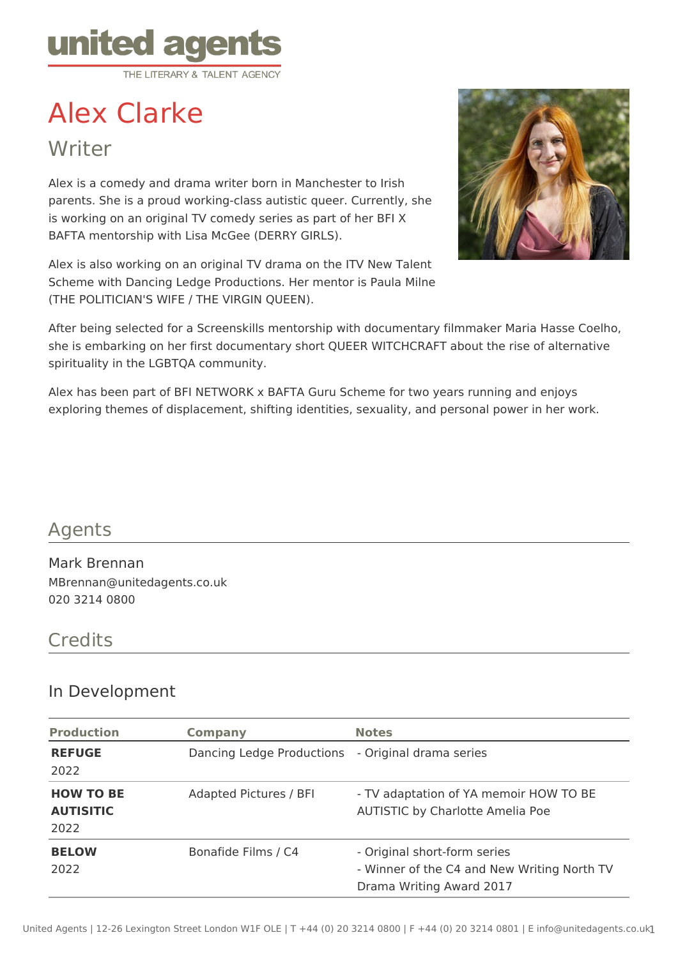

# Alex Clarke

# **Writer**

Alex is a comedy and drama writer born in Manchester to Irish parents. She is a proud working-class autistic queer. Currently, she is working on an original TV comedy series as part of her BFI X BAFTA mentorship with Lisa McGee (DERRY GIRLS).

Alex is also working on an original TV drama on the ITV New Talent Scheme with Dancing Ledge Productions. Her mentor is Paula Milne (THE POLITICIAN'S WIFE / THE VIRGIN QUEEN).



After being selected for a Screenskills mentorship with documentary filmmaker Maria Hasse Coelho, she is embarking on her first documentary short QUEER WITCHCRAFT about the rise of alternative spirituality in the LGBTQA community.

Alex has been part of BFI NETWORK x BAFTA Guru Scheme for two years running and enjoys exploring themes of displacement, shifting identities, sexuality, and personal power in her work.

### Agents

Mark Brennan MBrennan@unitedagents.co.uk 020 3214 0800

#### **Credits**

#### In Development

| <b>Production</b>                            | <b>Company</b>            | <b>Notes</b>                                                                                            |
|----------------------------------------------|---------------------------|---------------------------------------------------------------------------------------------------------|
| <b>REFUGE</b><br>2022                        | Dancing Ledge Productions | - Original drama series                                                                                 |
| <b>HOW TO BE</b><br><b>AUTISITIC</b><br>2022 | Adapted Pictures / BFI    | - TV adaptation of YA memoir HOW TO BE<br><b>AUTISTIC by Charlotte Amelia Poe</b>                       |
| <b>BELOW</b><br>2022                         | Bonafide Films / C4       | - Original short-form series<br>- Winner of the C4 and New Writing North TV<br>Drama Writing Award 2017 |